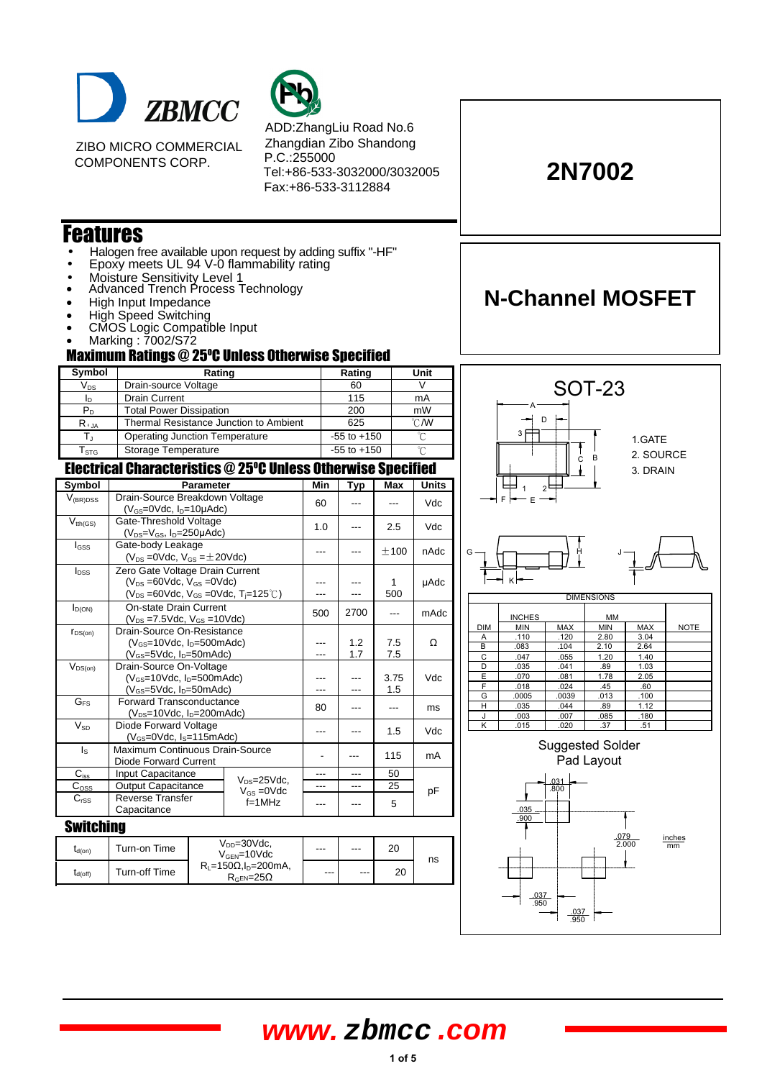

ZIBO MICRO COMMERCIAL COMPONENTS CORP.



ADD:ZhangLiu Road No.6 Zhangdian Zibo Shandong P.C.:255000 Tel:+86-533-3032000/3032005 Fax:+86-533-3112884

### Features

- Halogen free available upon request by adding suffix "-HF"
- Epoxy meets UL 94 V-0 flammability rating
- Moisture Sensitivity Level 1
- Advanced Trench Process Technology
- High Input Impedance
- High Speed Switching
- CMOS Logic Compatible Input
- Marking : 7002/S72

 $t_{d(off)}$  Turn-off Time

#### **Maximum Ratings @ 25°C Unless Otherwise Specified**

| Symbol                      | Rating                                 | Rating          | Unit          |  |
|-----------------------------|----------------------------------------|-----------------|---------------|--|
| $V_{DS}$                    | Drain-source Voltage                   | 60              |               |  |
| In                          | <b>Drain Current</b>                   | 115             | mA            |  |
| $P_{D}$                     | <b>Total Power Dissipation</b>         | 200             | mW            |  |
| $R_{\theta,IA}$             | Thermal Resistance Junction to Ambient | 625             | $\degree$ C/W |  |
|                             | Operating Junction Temperature         | $-55$ to $+150$ |               |  |
| $\mathsf{T}_{\texttt{STG}}$ | Storage Temperature                    | $-55$ to $+150$ |               |  |

#### Electrical Characteristics @ 25°C Unless Otherwise Specified

| Symbol                  | <b>Parameter</b>                                                                                                                                            |                                                 | Min | Typ        | Max         | <b>Units</b> |
|-------------------------|-------------------------------------------------------------------------------------------------------------------------------------------------------------|-------------------------------------------------|-----|------------|-------------|--------------|
| $V_{(BR)DSS}$           | Drain-Source Breakdown Voltage<br>$(V_{GS}=0$ Vdc, $I_{D}=10\mu$ Adc)                                                                                       |                                                 | 60  |            |             | Vdc          |
| $V_{tth(GS)}$           | Gate-Threshold Voltage<br>$(V_{DS}=V_{GS}$ , $I_{D}=250\mu \text{Ad}c$ )                                                                                    |                                                 | 1.0 |            | 2.5         | Vdc          |
| $I_{GSS}$               | Gate-body Leakage<br>$(V_{DS} = 0$ Vdc, $V_{GS} = \pm 20$ Vdc)                                                                                              |                                                 | --- |            | ±100        | nAdc         |
| $I_{DSS}$               | Zero Gate Voltage Drain Current<br>$(V_{DS} = 60$ Vdc, $V_{GS} = 0$ Vdc)<br>$(V_{DS} = 60 \text{Vdc}, V_{GS} = 0 \text{Vdc}, T_{j} = 125^{\circ} \text{C})$ |                                                 |     |            | 1<br>500    | µAdc         |
| $I_{D(ON)}$             | <b>On-state Drain Current</b><br>$(V_{DS} = 7.5 \text{Vdc}, V_{GS} = 10 \text{Vdc})$                                                                        |                                                 | 500 | 2700       | ---         | mAdc         |
| $r_{DS(on)}$            | Drain-Source On-Resistance<br>$(V_{GS}=10$ Vdc, $I_D=500$ mAdc)<br>$(V_{GS}=5Vdc, I_D=50mAdc)$                                                              |                                                 | --- | 1.2<br>1.7 | 7.5<br>7.5  | Ω            |
| $V_{DS(on)}$            | Drain-Source On-Voltage<br>$(V_{\text{GS}} = 10$ Vdc, $I_{\text{D}} = 500$ mAdc)<br>$(V_{GS}=5Vdc, I_D=50mAdc)$                                             |                                                 |     |            | 3.75<br>1.5 | Vdc          |
| G <sub>FS</sub>         | <b>Forward Transconductance</b><br>$(V_{DS}=10Vdc, I_D=200mAdc)$                                                                                            |                                                 | 80  |            | ---         | ms           |
| $V_{SD}$                | Diode Forward Voltage<br>$(V_{GS}=0$ Vdc, $I_S=115$ mAdc)                                                                                                   |                                                 | --- |            | 1.5         | Vdc          |
| $\mathsf{I}_\mathsf{S}$ | Maximum Continuous Drain-Source<br>Diode Forward Current                                                                                                    |                                                 |     |            | 115         | mA           |
| $C_{iss}$               | Input Capacitance                                                                                                                                           |                                                 |     |            | 50          |              |
| $C_{\text{OSS}}$        | Output Capacitance                                                                                                                                          | $V_{DS}=25$ Vdc,<br>$V_{GS} = 0$ Vdc            |     | ---        | 25          | рF           |
| $C_{rSS}$               | <b>Reverse Transfer</b><br>Capacitance                                                                                                                      | $f=1$ MHz                                       |     |            | 5           |              |
| <b>Switching</b>        |                                                                                                                                                             |                                                 |     |            |             |              |
| $t_{d(on)}$             | Turn-on Time                                                                                                                                                | $V_{DD} = 30$ Vdc.<br>$V_{\text{GEN}} = 10$ Vdc |     |            | 20          | ns           |
|                         |                                                                                                                                                             |                                                 |     |            |             |              |

 $R_L$ =150 $\Omega$ , I<sub>D</sub>=200mA,

 $R_{\text{GEN}} = 200 \text{mA},$  --- --- 20<br> $R_{\text{GEN}} = 25\Omega$ 



.037 .950

.037 .950

**2N7002**

**N-Channel MOSFET**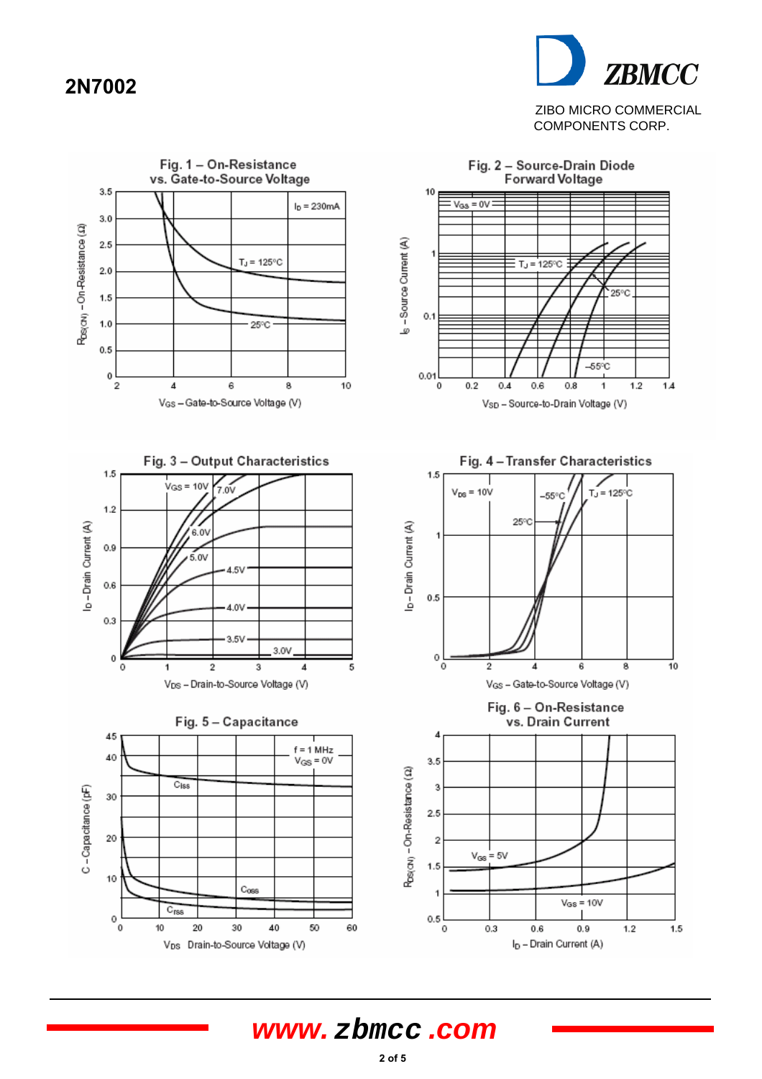### **2N7002**



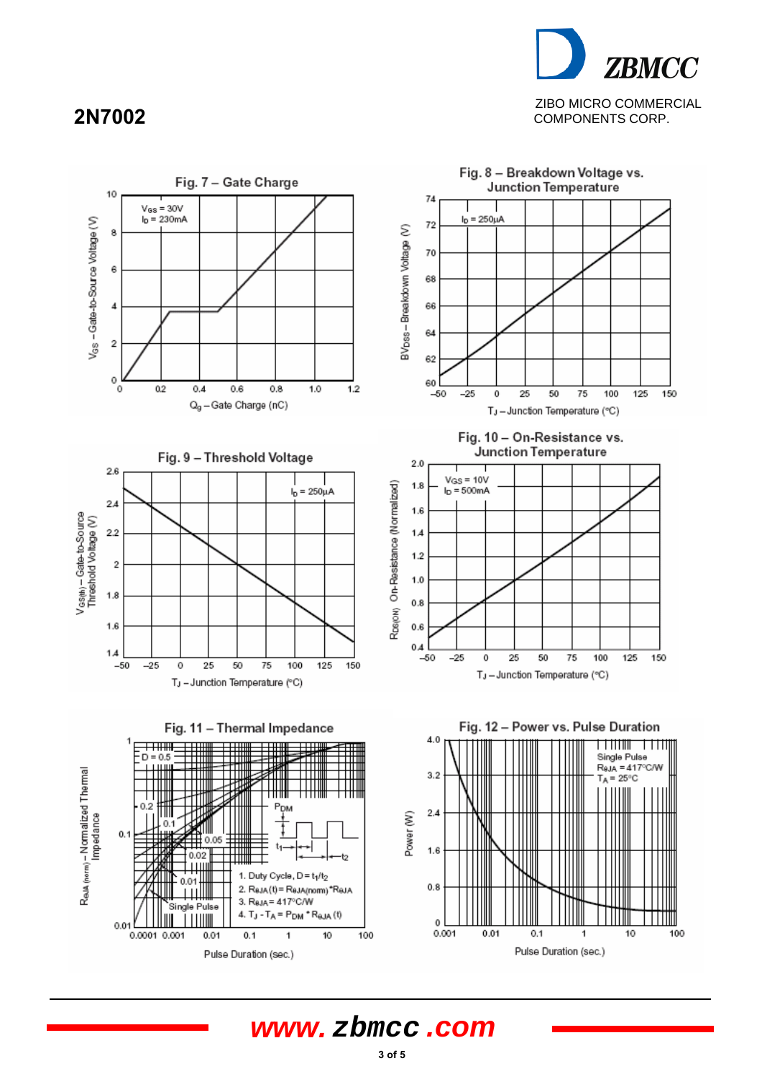# **ZBMCC** ZIBO MICRO COMMERCIAL COMPONENTS CORP.

### **2N7002**

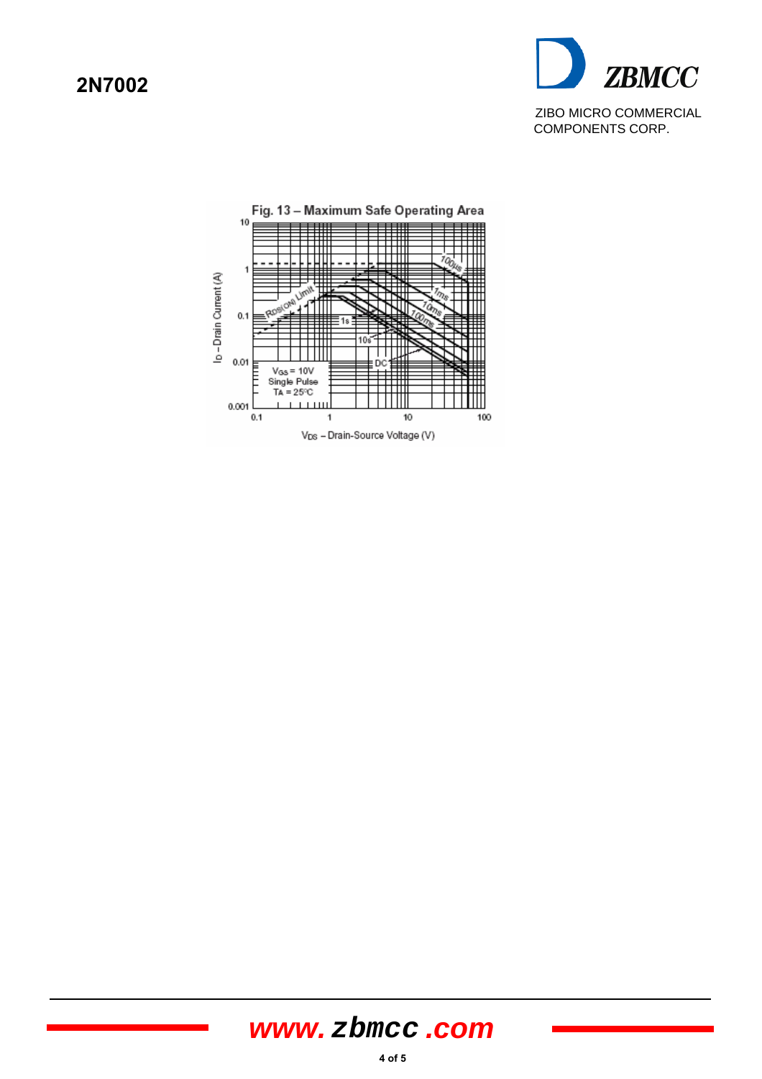### **2N7002**